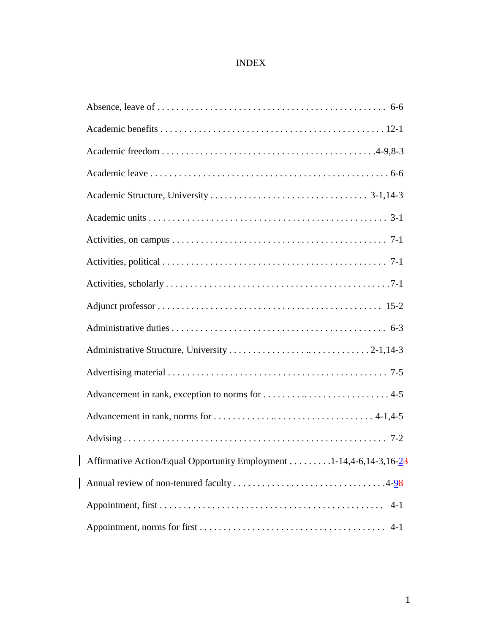## INDEX

| Affirmative Action/Equal Opportunity Employment 1-14,4-6,14-3,16-23 |
|---------------------------------------------------------------------|
|                                                                     |
| $4 - 1$                                                             |
|                                                                     |

 $\overline{\phantom{a}}$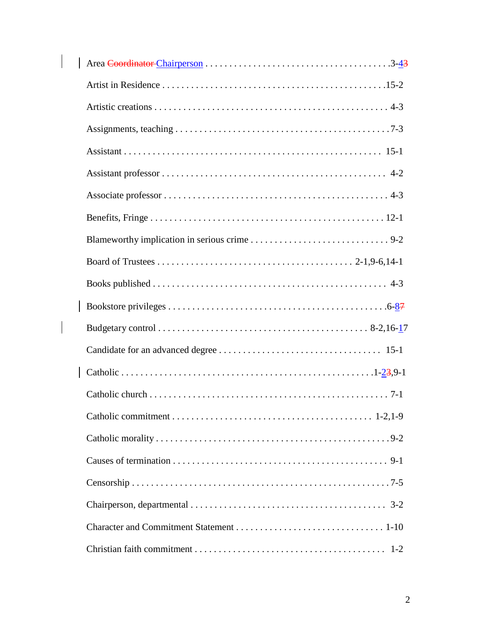$\begin{array}{c} \hline \end{array}$ 

 $\begin{array}{|c|c|} \hline \rule{0pt}{12pt} \rule{0pt}{2.5pt} \rule{0pt}{2.5pt} \rule{0pt}{2.5pt} \rule{0pt}{2.5pt} \rule{0pt}{2.5pt} \rule{0pt}{2.5pt} \rule{0pt}{2.5pt} \rule{0pt}{2.5pt} \rule{0pt}{2.5pt} \rule{0pt}{2.5pt} \rule{0pt}{2.5pt} \rule{0pt}{2.5pt} \rule{0pt}{2.5pt} \rule{0pt}{2.5pt} \rule{0pt}{2.5pt} \rule{0pt}{2.5pt} \rule{0pt}{2.5pt} \rule{0pt}{2.5$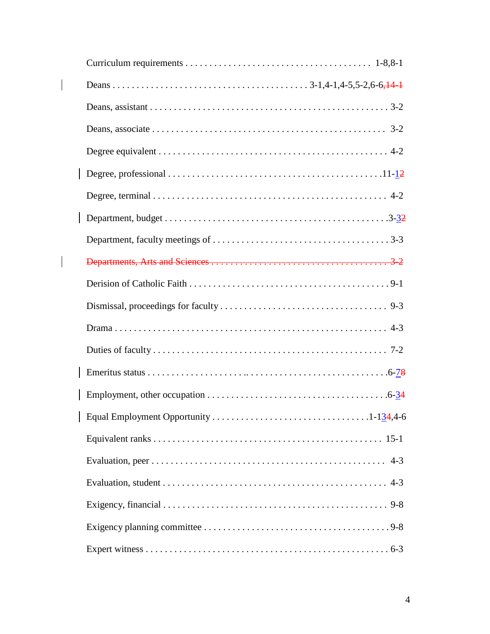$\begin{array}{c} \begin{array}{c} \end{array} \end{array}$ 

 $\begin{array}{c} \begin{array}{c} \end{array} \end{array}$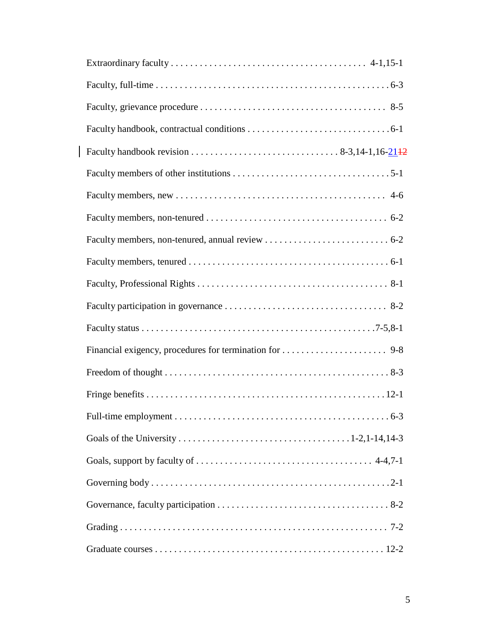$\mid$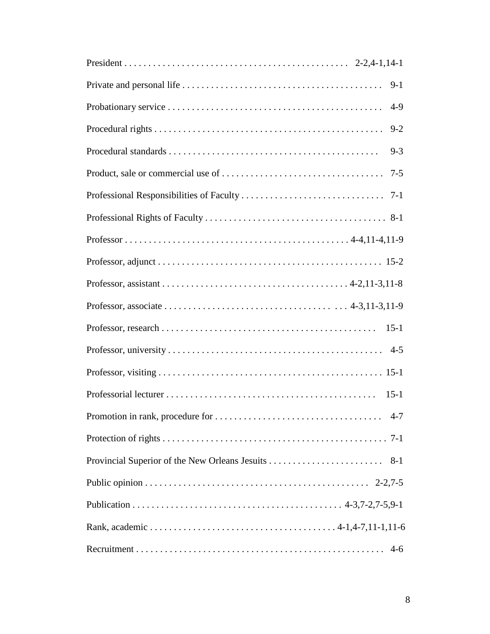| $9-1$   |
|---------|
| $4-9$   |
| $9 - 2$ |
| $9 - 3$ |
| $7 - 5$ |
|         |
|         |
|         |
|         |
|         |
|         |
|         |
|         |
|         |
| $15-1$  |
|         |
|         |
|         |
|         |
|         |
|         |
|         |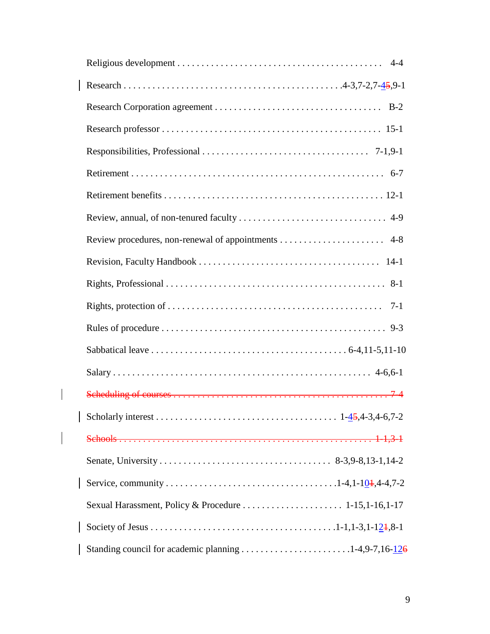| $7-1$ |
|-------|
|       |
|       |
|       |
|       |
|       |
|       |
|       |
|       |
|       |
|       |
|       |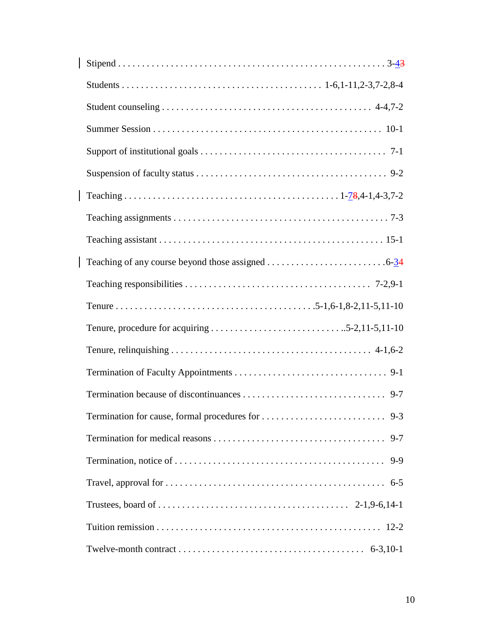| $9 - 7$ |
|---------|
| $9-9$   |
|         |
|         |
|         |
|         |